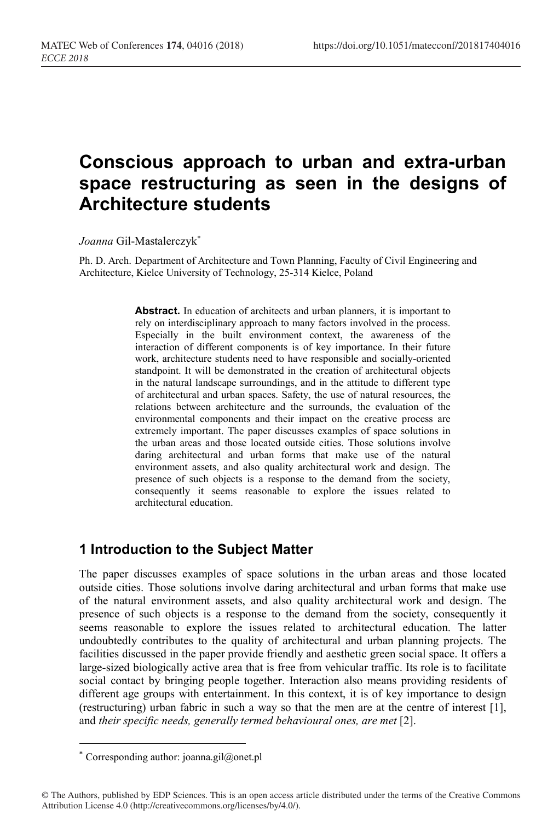# Conscious approach to urban and extra-urban space restructuring as seen in the designs of Architecture students

Joanna Gil-Mastalerczyk\*

Ph. D. Arch. Department of Architecture and Town Planning, Faculty of Civil Engineering and Architecture, Kielce University of Technology, 25-314 Kielce, Poland

> Abstract. In education of architects and urban planners, it is important to rely on interdisciplinary approach to many factors involved in the process. Especially in the built environment context, the awareness of the interaction of different components is of key importance. In their future work, architecture students need to have responsible and socially-oriented standpoint. It will be demonstrated in the creation of architectural objects in the natural landscape surroundings, and in the attitude to different type of architectural and urban spaces. Safety, the use of natural resources, the relations between architecture and the surrounds, the evaluation of the environmental components and their impact on the creative process are extremely important. The paper discusses examples of space solutions in the urban areas and those located outside cities. Those solutions involve daring architectural and urban forms that make use of the natural environment assets, and also quality architectural work and design. The presence of such objects is a response to the demand from the society, consequently it seems reasonable to explore the issues related to architectural education.

# 1 Introduction to the Subject Matter

The paper discusses examples of space solutions in the urban areas and those located outside cities. Those solutions involve daring architectural and urban forms that make use of the natural environment assets, and also quality architectural work and design. The presence of such objects is a response to the demand from the society, consequently it seems reasonable to explore the issues related to architectural education. The latter undoubtedly contributes to the quality of architectural and urban planning projects. The facilities discussed in the paper provide friendly and aesthetic green social space. It offers a large-sized biologically active area that is free from vehicular traffic. Its role is to facilitate social contact by bringing people together. Interaction also means providing residents of different age groups with entertainment. In this context, it is of key importance to design (restructuring) urban fabric in such a way so that the men are at the centre of interest [1], and their specific needs, generally termed behavioural ones, are met [2].

 $\overline{a}$ 

<sup>\*</sup> Corresponding author: joanna.gil@onet.pl

<sup>©</sup> The Authors, published by EDP Sciences. This is an open access article distributed under the terms of the Creative Commons Attribution License 4.0 (http://creativecommons.org/licenses/by/4.0/).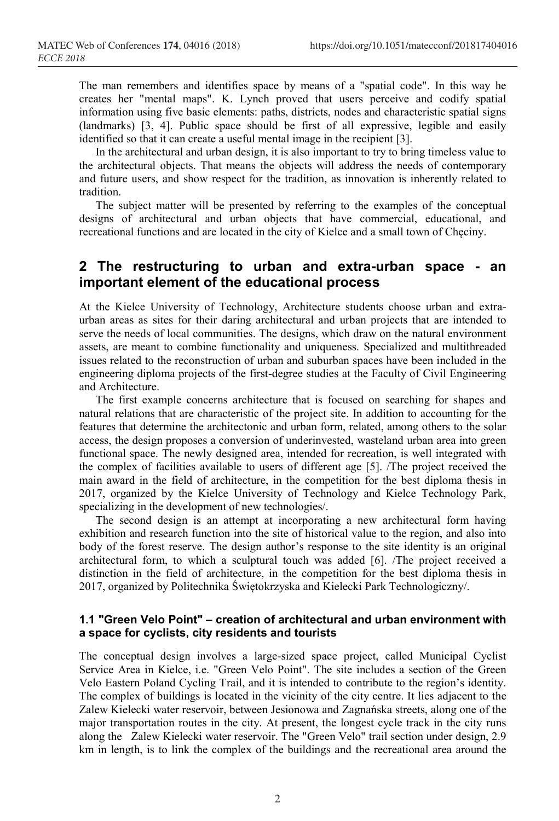The man remembers and identifies space by means of a "spatial code". In this way he creates her "mental maps". K. Lynch proved that users perceive and codify spatial information using five basic elements: paths, districts, nodes and characteristic spatial signs (landmarks) [3, 4]. Public space should be first of all expressive, legible and easily identified so that it can create a useful mental image in the recipient [3].

In the architectural and urban design, it is also important to try to bring timeless value to the architectural objects. That means the objects will address the needs of contemporary and future users, and show respect for the tradition, as innovation is inherently related to tradition.

The subject matter will be presented by referring to the examples of the conceptual designs of architectural and urban objects that have commercial, educational, and recreational functions and are located in the city of Kielce and a small town of Chęciny.

## 2 The restructuring to urban and extra-urban space - an important element of the educational process

At the Kielce University of Technology, Architecture students choose urban and extraurban areas as sites for their daring architectural and urban projects that are intended to serve the needs of local communities. The designs, which draw on the natural environment assets, are meant to combine functionality and uniqueness. Specialized and multithreaded issues related to the reconstruction of urban and suburban spaces have been included in the engineering diploma projects of the first-degree studies at the Faculty of Civil Engineering and Architecture.

The first example concerns architecture that is focused on searching for shapes and natural relations that are characteristic of the project site. In addition to accounting for the features that determine the architectonic and urban form, related, among others to the solar access, the design proposes a conversion of underinvested, wasteland urban area into green functional space. The newly designed area, intended for recreation, is well integrated with the complex of facilities available to users of different age [5]. /The project received the main award in the field of architecture, in the competition for the best diploma thesis in 2017, organized by the Kielce University of Technology and Kielce Technology Park, specializing in the development of new technologies/.

The second design is an attempt at incorporating a new architectural form having exhibition and research function into the site of historical value to the region, and also into body of the forest reserve. The design author's response to the site identity is an original architectural form, to which a sculptural touch was added [6]. /The project received a distinction in the field of architecture, in the competition for the best diploma thesis in 2017, organized by Politechnika Świętokrzyska and Kielecki Park Technologiczny/.

#### 1.1 "Green Velo Point" – creation of architectural and urban environment with a space for cyclists, city residents and tourists

The conceptual design involves a large-sized space project, called Municipal Cyclist Service Area in Kielce, i.e. "Green Velo Point". The site includes a section of the Green Velo Eastern Poland Cycling Trail, and it is intended to contribute to the region's identity. The complex of buildings is located in the vicinity of the city centre. It lies adjacent to the Zalew Kielecki water reservoir, between Jesionowa and Zagnańska streets, along one of the major transportation routes in the city. At present, the longest cycle track in the city runs along the Zalew Kielecki water reservoir. The "Green Velo" trail section under design, 2.9 km in length, is to link the complex of the buildings and the recreational area around the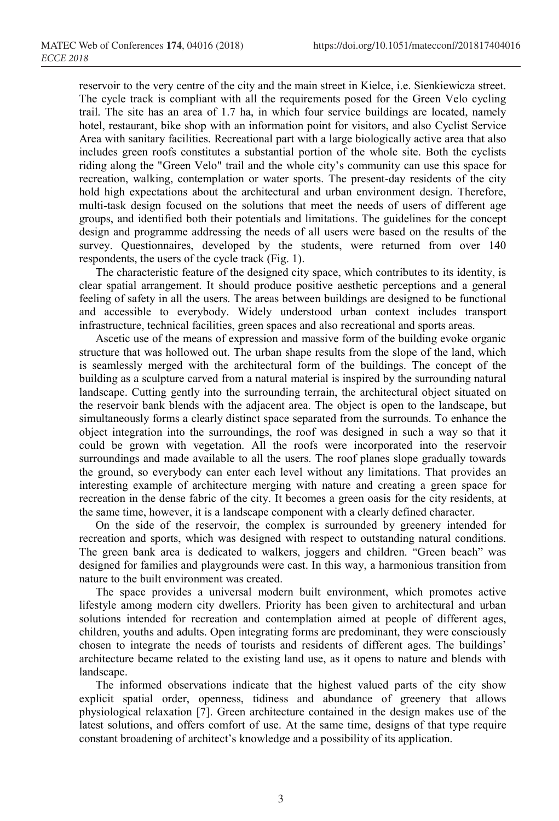reservoir to the very centre of the city and the main street in Kielce, i.e. Sienkiewicza street. The cycle track is compliant with all the requirements posed for the Green Velo cycling trail. The site has an area of 1.7 ha, in which four service buildings are located, namely hotel, restaurant, bike shop with an information point for visitors, and also Cyclist Service Area with sanitary facilities. Recreational part with a large biologically active area that also includes green roofs constitutes a substantial portion of the whole site. Both the cyclists riding along the "Green Velo" trail and the whole city's community can use this space for recreation, walking, contemplation or water sports. The present-day residents of the city hold high expectations about the architectural and urban environment design. Therefore, multi-task design focused on the solutions that meet the needs of users of different age groups, and identified both their potentials and limitations. The guidelines for the concept design and programme addressing the needs of all users were based on the results of the survey. Questionnaires, developed by the students, were returned from over 140 respondents, the users of the cycle track (Fig. 1).

The characteristic feature of the designed city space, which contributes to its identity, is clear spatial arrangement. It should produce positive aesthetic perceptions and a general feeling of safety in all the users. The areas between buildings are designed to be functional and accessible to everybody. Widely understood urban context includes transport infrastructure, technical facilities, green spaces and also recreational and sports areas.

Ascetic use of the means of expression and massive form of the building evoke organic structure that was hollowed out. The urban shape results from the slope of the land, which is seamlessly merged with the architectural form of the buildings. The concept of the building as a sculpture carved from a natural material is inspired by the surrounding natural landscape. Cutting gently into the surrounding terrain, the architectural object situated on the reservoir bank blends with the adjacent area. The object is open to the landscape, but simultaneously forms a clearly distinct space separated from the surrounds. To enhance the object integration into the surroundings, the roof was designed in such a way so that it could be grown with vegetation. All the roofs were incorporated into the reservoir surroundings and made available to all the users. The roof planes slope gradually towards the ground, so everybody can enter each level without any limitations. That provides an interesting example of architecture merging with nature and creating a green space for recreation in the dense fabric of the city. It becomes a green oasis for the city residents, at the same time, however, it is a landscape component with a clearly defined character.

On the side of the reservoir, the complex is surrounded by greenery intended for recreation and sports, which was designed with respect to outstanding natural conditions. The green bank area is dedicated to walkers, joggers and children. "Green beach" was designed for families and playgrounds were cast. In this way, a harmonious transition from nature to the built environment was created.

The space provides a universal modern built environment, which promotes active lifestyle among modern city dwellers. Priority has been given to architectural and urban solutions intended for recreation and contemplation aimed at people of different ages, children, youths and adults. Open integrating forms are predominant, they were consciously chosen to integrate the needs of tourists and residents of different ages. The buildings' architecture became related to the existing land use, as it opens to nature and blends with landscape.

The informed observations indicate that the highest valued parts of the city show explicit spatial order, openness, tidiness and abundance of greenery that allows physiological relaxation [7]. Green architecture contained in the design makes use of the latest solutions, and offers comfort of use. At the same time, designs of that type require constant broadening of architect's knowledge and a possibility of its application.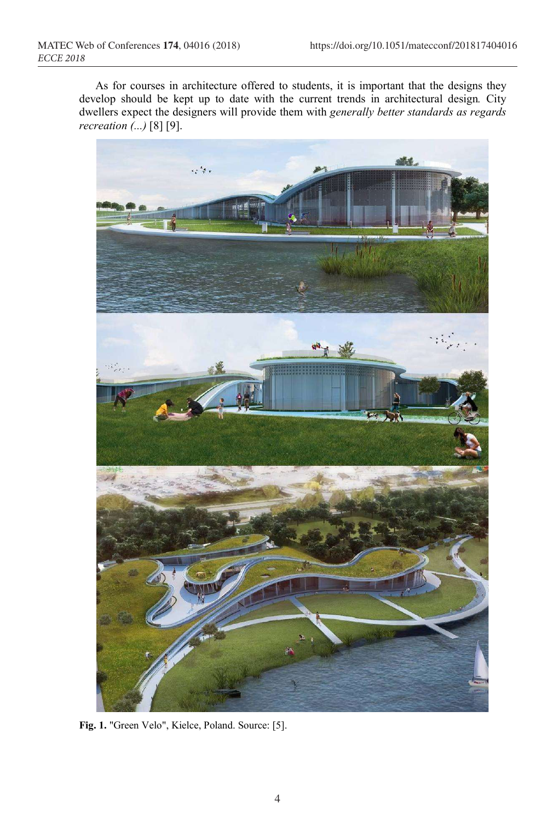As for courses in architecture offered to students, it is important that the designs they develop should be kept up to date with the current trends in architectural design. City dwellers expect the designers will provide them with generally better standards as regards recreation  $\overline{$ ... [8] [9].



Fig. 1. "Green Velo", Kielce, Poland. Source: [5].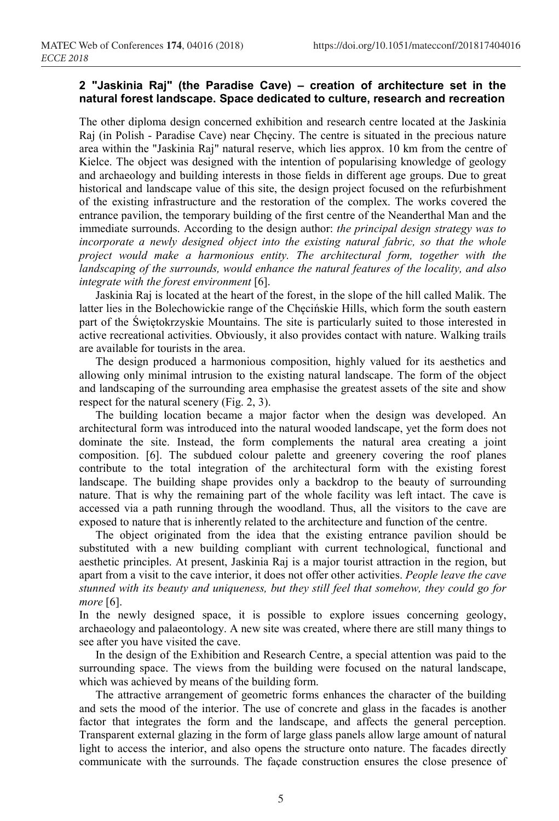#### 2 "Jaskinia Raj" (the Paradise Cave) – creation of architecture set in the natural forest landscape. Space dedicated to culture, research and recreation

The other diploma design concerned exhibition and research centre located at the Jaskinia Raj (in Polish - Paradise Cave) near Chęciny. The centre is situated in the precious nature area within the "Jaskinia Raj" natural reserve, which lies approx. 10 km from the centre of Kielce. The object was designed with the intention of popularising knowledge of geology and archaeology and building interests in those fields in different age groups. Due to great historical and landscape value of this site, the design project focused on the refurbishment of the existing infrastructure and the restoration of the complex. The works covered the entrance pavilion, the temporary building of the first centre of the Neanderthal Man and the immediate surrounds. According to the design author: the principal design strategy was to incorporate a newly designed object into the existing natural fabric, so that the whole project would make a harmonious entity. The architectural form, together with the landscaping of the surrounds, would enhance the natural features of the locality, and also integrate with the forest environment [6].

Jaskinia Raj is located at the heart of the forest, in the slope of the hill called Malik. The latter lies in the Bolechowickie range of the Chęcińskie Hills, which form the south eastern part of the Świętokrzyskie Mountains. The site is particularly suited to those interested in active recreational activities. Obviously, it also provides contact with nature. Walking trails are available for tourists in the area.

The design produced a harmonious composition, highly valued for its aesthetics and allowing only minimal intrusion to the existing natural landscape. The form of the object and landscaping of the surrounding area emphasise the greatest assets of the site and show respect for the natural scenery (Fig. 2, 3).

The building location became a major factor when the design was developed. An architectural form was introduced into the natural wooded landscape, yet the form does not dominate the site. Instead, the form complements the natural area creating a joint composition. [6]. The subdued colour palette and greenery covering the roof planes contribute to the total integration of the architectural form with the existing forest landscape. The building shape provides only a backdrop to the beauty of surrounding nature. That is why the remaining part of the whole facility was left intact. The cave is accessed via a path running through the woodland. Thus, all the visitors to the cave are exposed to nature that is inherently related to the architecture and function of the centre.

The object originated from the idea that the existing entrance pavilion should be substituted with a new building compliant with current technological, functional and aesthetic principles. At present, Jaskinia Raj is a major tourist attraction in the region, but apart from a visit to the cave interior, it does not offer other activities. People leave the cave stunned with its beauty and uniqueness, but they still feel that somehow, they could go for more [6].

In the newly designed space, it is possible to explore issues concerning geology, archaeology and palaeontology. A new site was created, where there are still many things to see after you have visited the cave.

In the design of the Exhibition and Research Centre, a special attention was paid to the surrounding space. The views from the building were focused on the natural landscape, which was achieved by means of the building form.

The attractive arrangement of geometric forms enhances the character of the building and sets the mood of the interior. The use of concrete and glass in the facades is another factor that integrates the form and the landscape, and affects the general perception. Transparent external glazing in the form of large glass panels allow large amount of natural light to access the interior, and also opens the structure onto nature. The facades directly communicate with the surrounds. The façade construction ensures the close presence of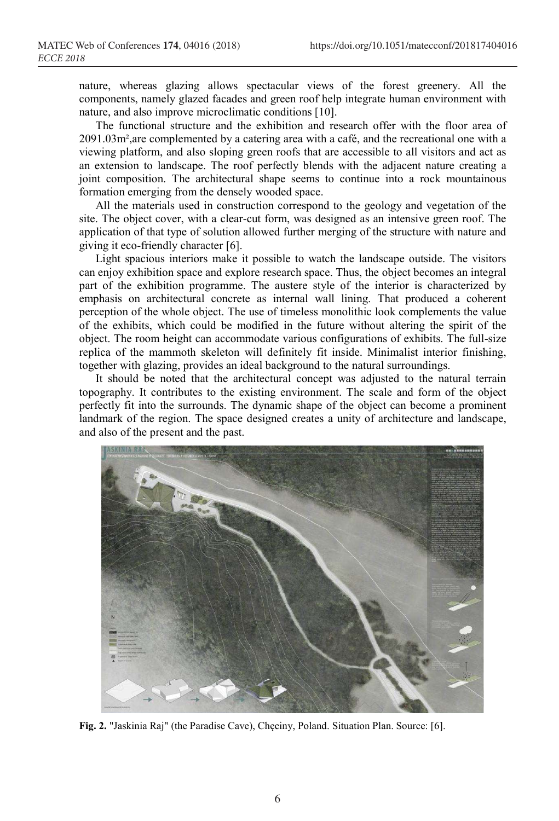nature, whereas glazing allows spectacular views of the forest greenery. All the components, namely glazed facades and green roof help integrate human environment with nature, and also improve microclimatic conditions [10].

The functional structure and the exhibition and research offer with the floor area of 2091.03m²,are complemented by a catering area with a café, and the recreational one with a viewing platform, and also sloping green roofs that are accessible to all visitors and act as an extension to landscape. The roof perfectly blends with the adjacent nature creating a joint composition. The architectural shape seems to continue into a rock mountainous formation emerging from the densely wooded space.

All the materials used in construction correspond to the geology and vegetation of the site. The object cover, with a clear-cut form, was designed as an intensive green roof. The application of that type of solution allowed further merging of the structure with nature and giving it eco-friendly character [6].

Light spacious interiors make it possible to watch the landscape outside. The visitors can enjoy exhibition space and explore research space. Thus, the object becomes an integral part of the exhibition programme. The austere style of the interior is characterized by emphasis on architectural concrete as internal wall lining. That produced a coherent perception of the whole object. The use of timeless monolithic look complements the value of the exhibits, which could be modified in the future without altering the spirit of the object. The room height can accommodate various configurations of exhibits. The full-size replica of the mammoth skeleton will definitely fit inside. Minimalist interior finishing, together with glazing, provides an ideal background to the natural surroundings.

It should be noted that the architectural concept was adjusted to the natural terrain topography. It contributes to the existing environment. The scale and form of the object perfectly fit into the surrounds. The dynamic shape of the object can become a prominent landmark of the region. The space designed creates a unity of architecture and landscape, and also of the present and the past.



Fig. 2. "Jaskinia Raj" (the Paradise Cave), Chęciny, Poland. Situation Plan. Source: [6].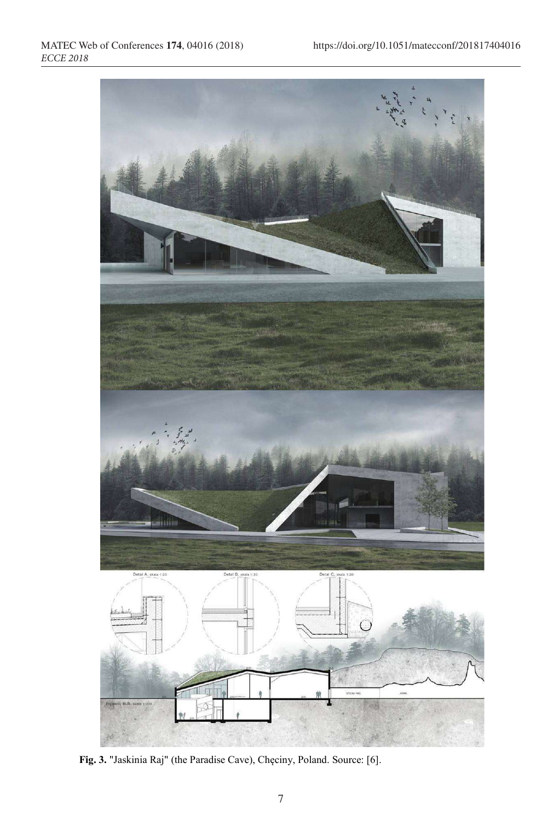

Fig. 3. "Jaskinia Raj" (the Paradise Cave), Chęciny, Poland. Source: [6].